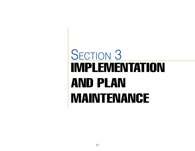# IMPLEMENTATION AND PLAN MAINTENANCE SECTION 3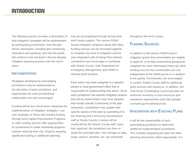The following section provides a description of how mitigation strategies will be implemented by participating jurisdictions, how the plan will be maintained, including plan monitoring, evaluation and updating, and how the public will continue to be involved in the pre-disaster mitigation planning process over the next 5 years.

#### **IMPLEMENTATION**

Strategies developed by participating jurisdictions may be implemented at the discretion of each jurisdiction, and opportunities for cross-jurisdictional collaboration are also encouraged.

Funding will be the critical factor impacting the implementation of mitigation strategies. Lowcost strategies or those with existing funding through local Capital Improvement Programs or other funding sources offer opportunities for jurisdictions to make immediate progress towards reducing their risk. Projects requiring significant funding or additional planning,

may be accomplished through strong local and County support. The various FEMA hazard mitigation programs along with other funding sources can be leveraged together to complete any level of mitigation actions (see Integration with Existing Plans below). Jurisdictions are encourage to coordinate with Tooele County, Utah Department of Emergency Management, and FEMA to develop grant projects.

Each action has been assigned to a specific person or local government office that is responsible for implementing that action. Since each jurisdiction has specific mitigation actions that will be implemented, they have adopted their locally specific Community of the plan separately. Jurisdictions may update their specific section of the plan by submitting it to the Planning and Community Development staff at Tooele County. A review will be conducted by the Tooele County staff. Upon their approval, the jurisdiction can then readopt the amended plan. Any changes to data, maps, actions, priorities, etc. are welcomed

throughout the next 5-years.

## Funding Sources

In addition to the various FEMA hazard mitigation grants that communities are eligible to apply for (visit https://www.fema.gov/grants/ mitigation for more information) there are other funding sources that communities can use independent of the FEMA grants or in addition to the grants. Communities are encouraged to contact Tooele County staff for additional grant sources and resources. In addition, the Utah Rural Coordinating Council provides an extensive inventory of rural resources and assistance opportunities (visit sites.google. com/utah.gov/rural/resources).

### INTEGRATION WITH EXISTING PI ANS

It will be the responsibility of each participating jurisdiction to determine additional implementation procedures. This includes integrating the plan into other planning documents where appropriate. It is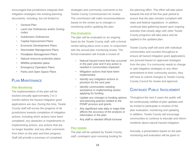encouraged that jurisdictions integrate their mitigation strategies into existing planning documents, including, but not limited to:

- General Plan
- Land Use Ordinances and/or Zoning codes
- **Subdivision Ordinances**
- Capital Improvement Plans
- Economic Development Plans
- Stormwater Management Plans
- Floodplain Management Plans
- Natural resource protection plans
- Wildfire protection plans
- **Emergency Operation Plans**
- Parks and Open Space Plans

## Plan Maintenance

#### **Plan Monitoring**

The implementation of the plan will be tracked annually approximately 2 to 3 months before the hazard mitigation grant applications are due. During this time, Tooele County staff will survey the progress of all jurisdictions towards completion of mitigation actions, including which actions have been completed, any obstacles or impediments to implementing actions, any actions that are no longer feasible, and any other comments from them on the plan and their progress. Staff will provide a summary of completed

strategies and community comments to the Tooele County Commissioners for review. The commission will make recommendations based on the review as to changes in monitoring and/or updating the plan.

#### **Plan Evaluation**

The plan will be evaluated on an ongoing basis by the Tooele County staff, with a formal review taking place once a year, in conjunction with the annual plan monitoring review. The formal evaluation will include a review of:

- Natural hazard event that has occurred in the past year and if any action is needed in communities impacted
- Mitigation actions that have been implemented
- Identify any mitigation actions to prioritize for the next year
- Identify communities needing assistance in implementing and/or applying for funding
- Update any changes to funding options and planning policies related to the PDMP process and grants
- Any significant new data or maps that affects the accuracy of the analysis or information in the plan
- Any staff or elected official turnover

#### **Plan Update**

The plan will be updated by Tooele County staff, contingent upon receiving funding for

the planning effort. This effort will take place towards the end of the five year period to ensure that the plan remains compliant with state and federal regulations. In addition, continual data gathering based upon ongoing activities that closely align with other Tooele County programs will take place and be applied to the updated plan.

Tooele County staff will work with individual communities and counties throughout to ensure all hazard mitigation grant applications are pursued based on approved strategies from the plan. If a community needs to change or add mitigation strategies or any other amendment to their community section, they will have to submit changes to Tooele County, County Council for review and approval.

## CONTINUED PUBLIC INVOLVEMENT

Throughout the next 5 years the public will be continuously notified of plan updates and be invited to participate in reviews of the plan evaluation, monitoring and updating. In addition, Tooele County will encourage communities to continue to educate and inform residents about natural hazard mitigation.

Annually, a presentation based on the plan monitoring and evaluation will be given to